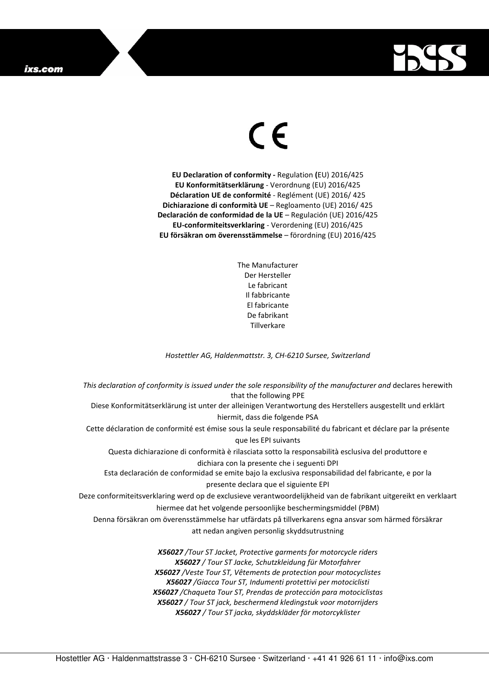## ixs.com



## $\in$

**EU Declaration of conformity -** Regulation **(**EU) 2016/425 **EU Konformitätserklärung** - Verordnung (EU) 2016/425 **Déclaration UE de conformité** - Reglément (UE) 2016/ 425 **Dichiarazione di conformità UE** – Regloamento (UE) 2016/ 425 **Declaración de conformidad de la UE** – Regulación (UE) 2016/425 **EU-conformiteitsverklaring** - Verordening (EU) 2016/425 **EU försäkran om överensstämmelse** – förordning (EU) 2016/425

> The Manufacturer Der Hersteller Le fabricant Il fabbricante El fabricante De fabrikant **Tillverkare**

*Hostettler AG, Haldenmattstr. 3, CH-6210 Sursee, Switzerland* 

*This declaration of conformity is issued under the sole responsibility of the manufacturer and* declares herewith that the following PPE Diese Konformitätserklärung ist unter der alleinigen Verantwortung des Herstellers ausgestellt und erklärt hiermit, dass die folgende PSA Cette déclaration de conformité est émise sous la seule responsabilité du fabricant et déclare par la présente que les EPI suivants Questa dichiarazione di conformità è rilasciata sotto la responsabilità esclusiva del produttore e dichiara con la presente che i seguenti DPI Esta declaración de conformidad se emite bajo la exclusiva responsabilidad del fabricante, e por la presente declara que el siguiente EPI Deze conformiteitsverklaring werd op de exclusieve verantwoordelijkheid van de fabrikant uitgereikt en verklaart hiermee dat het volgende persoonlijke beschermingsmiddel (PBM) Denna försäkran om överensstämmelse har utfärdats på tillverkarens egna ansvar som härmed försäkrar att nedan angiven personlig skyddsutrustning *X56027 /Tour ST Jacket, Protective garments for motorcycle riders X56027 / Tour ST Jacke, Schutzkleidung für Motorfahrer X56027 /Veste Tour ST, Vêtements de protection pour motocyclistes X56027 /Giacca Tour ST, Indumenti protettivi per motociclisti X56027 /Chaqueta Tour ST, Prendas de protección para motociclistas X56027 / Tour ST jack, beschermend kledingstuk voor motorrijders* 

*X56027 / Tour ST jacka, skyddskläder för motorcyklister*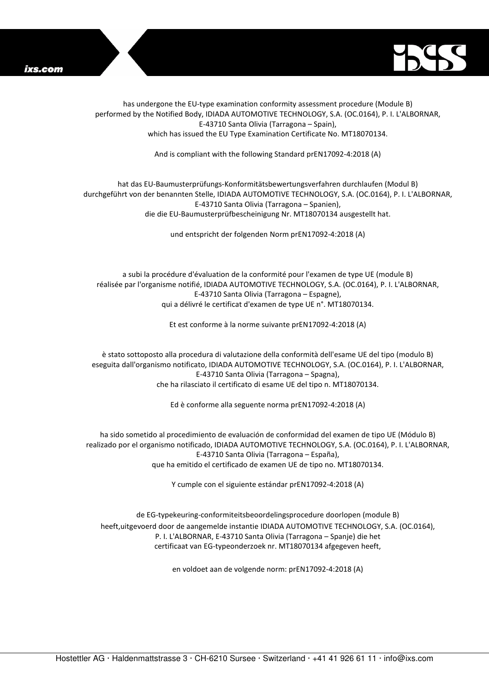



has undergone the EU-type examination conformity assessment procedure (Module B) performed by the Notified Body, IDIADA AUTOMOTIVE TECHNOLOGY, S.A. (OC.0164), P. I. L'ALBORNAR, E-43710 Santa Olivia (Tarragona – Spain), which has issued the EU Type Examination Certificate No. MT18070134.

And is compliant with the following Standard prEN17092-4:2018 (A)

## hat das EU-Baumusterprüfungs-Konformitätsbewertungsverfahren durchlaufen (Modul B) durchgeführt von der benannten Stelle, IDIADA AUTOMOTIVE TECHNOLOGY, S.A. (OC.0164), P. I. L'ALBORNAR, E-43710 Santa Olivia (Tarragona – Spanien), die die EU-Baumusterprüfbescheinigung Nr. MT18070134 ausgestellt hat.

und entspricht der folgenden Norm prEN17092-4:2018 (A)

a subi la procédure d'évaluation de la conformité pour l'examen de type UE (module B) réalisée par l'organisme notifié, IDIADA AUTOMOTIVE TECHNOLOGY, S.A. (OC.0164), P. I. L'ALBORNAR, E-43710 Santa Olivia (Tarragona – Espagne), qui a délivré le certificat d'examen de type UE n°. MT18070134.

Et est conforme à la norme suivante prEN17092-4:2018 (A)

è stato sottoposto alla procedura di valutazione della conformità dell'esame UE del tipo (modulo B) eseguita dall'organismo notificato, IDIADA AUTOMOTIVE TECHNOLOGY, S.A. (OC.0164), P. I. L'ALBORNAR, E-43710 Santa Olivia (Tarragona – Spagna), che ha rilasciato il certificato di esame UE del tipo n. MT18070134.

Ed è conforme alla seguente norma prEN17092-4:2018 (A)

ha sido sometido al procedimiento de evaluación de conformidad del examen de tipo UE (Módulo B) realizado por el organismo notificado, IDIADA AUTOMOTIVE TECHNOLOGY, S.A. (OC.0164), P. I. L'ALBORNAR, E-43710 Santa Olivia (Tarragona – España), que ha emitido el certificado de examen UE de tipo no. MT18070134.

Y cumple con el siguiente estándar prEN17092-4:2018 (A)

de EG-typekeuring-conformiteitsbeoordelingsprocedure doorlopen (module B) heeft,uitgevoerd door de aangemelde instantie IDIADA AUTOMOTIVE TECHNOLOGY, S.A. (OC.0164), P. I. L'ALBORNAR, E-43710 Santa Olivia (Tarragona – Spanje) die het certificaat van EG-typeonderzoek nr. MT18070134 afgegeven heeft,

en voldoet aan de volgende norm: prEN17092-4:2018 (A)